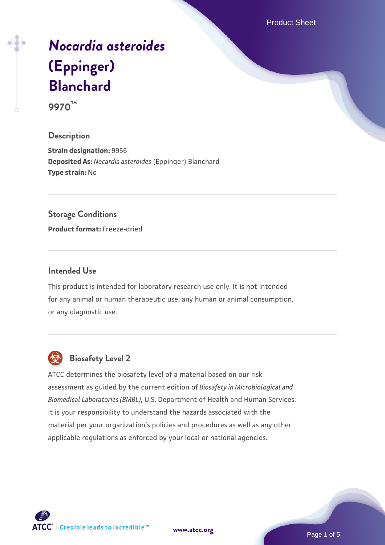Product Sheet

# *[Nocardia asteroides](https://www.atcc.org/products/9970)* **[\(Eppinger\)](https://www.atcc.org/products/9970) [Blanchard](https://www.atcc.org/products/9970)**

**9970™**

# **Description**

**Strain designation:** 9956 **Deposited As:** *Nocardia asteroides* (Eppinger) Blanchard **Type strain:** No

## **Storage Conditions**

**Product format:** Freeze-dried

# **Intended Use**

This product is intended for laboratory research use only. It is not intended for any animal or human therapeutic use, any human or animal consumption, or any diagnostic use.



# **Biosafety Level 2**

ATCC determines the biosafety level of a material based on our risk assessment as guided by the current edition of *Biosafety in Microbiological and Biomedical Laboratories (BMBL)*, U.S. Department of Health and Human Services. It is your responsibility to understand the hazards associated with the material per your organization's policies and procedures as well as any other applicable regulations as enforced by your local or national agencies.

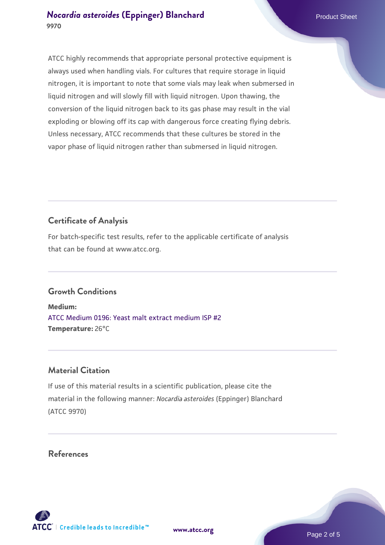# **[Nocardia asteroides](https://www.atcc.org/products/9970) [\(Eppinger\) Blanchard](https://www.atcc.org/products/9970)** Product Sheet **9970**

ATCC highly recommends that appropriate personal protective equipment is always used when handling vials. For cultures that require storage in liquid nitrogen, it is important to note that some vials may leak when submersed in liquid nitrogen and will slowly fill with liquid nitrogen. Upon thawing, the conversion of the liquid nitrogen back to its gas phase may result in the vial exploding or blowing off its cap with dangerous force creating flying debris. Unless necessary, ATCC recommends that these cultures be stored in the vapor phase of liquid nitrogen rather than submersed in liquid nitrogen.

# **Certificate of Analysis**

For batch-specific test results, refer to the applicable certificate of analysis that can be found at www.atcc.org.

# **Growth Conditions**

**Medium:**  [ATCC Medium 0196: Yeast malt extract medium ISP #2](https://www.atcc.org/-/media/product-assets/documents/microbial-media-formulations/1/9/6/atcc-medium-0196.pdf?rev=3ab98ce3034f46208b34017336aa4c86) **Temperature:** 26°C

# **Material Citation**

If use of this material results in a scientific publication, please cite the material in the following manner: *Nocardia asteroides* (Eppinger) Blanchard (ATCC 9970)

# **References**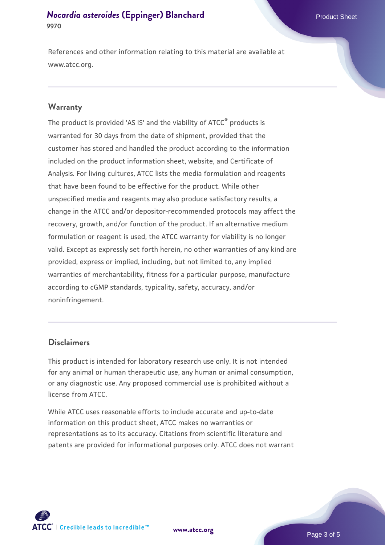# **[Nocardia asteroides](https://www.atcc.org/products/9970) [\(Eppinger\) Blanchard](https://www.atcc.org/products/9970)** Product Sheet **9970**

References and other information relating to this material are available at www.atcc.org.

### **Warranty**

The product is provided 'AS IS' and the viability of ATCC® products is warranted for 30 days from the date of shipment, provided that the customer has stored and handled the product according to the information included on the product information sheet, website, and Certificate of Analysis. For living cultures, ATCC lists the media formulation and reagents that have been found to be effective for the product. While other unspecified media and reagents may also produce satisfactory results, a change in the ATCC and/or depositor-recommended protocols may affect the recovery, growth, and/or function of the product. If an alternative medium formulation or reagent is used, the ATCC warranty for viability is no longer valid. Except as expressly set forth herein, no other warranties of any kind are provided, express or implied, including, but not limited to, any implied warranties of merchantability, fitness for a particular purpose, manufacture according to cGMP standards, typicality, safety, accuracy, and/or noninfringement.

## **Disclaimers**

This product is intended for laboratory research use only. It is not intended for any animal or human therapeutic use, any human or animal consumption, or any diagnostic use. Any proposed commercial use is prohibited without a license from ATCC.

While ATCC uses reasonable efforts to include accurate and up-to-date information on this product sheet, ATCC makes no warranties or representations as to its accuracy. Citations from scientific literature and patents are provided for informational purposes only. ATCC does not warrant



**[www.atcc.org](http://www.atcc.org)**

Page 3 of 5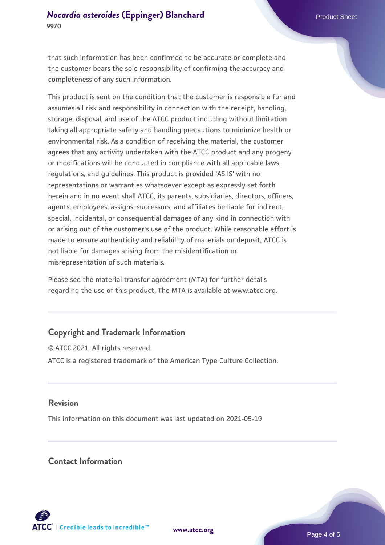that such information has been confirmed to be accurate or complete and the customer bears the sole responsibility of confirming the accuracy and completeness of any such information.

This product is sent on the condition that the customer is responsible for and assumes all risk and responsibility in connection with the receipt, handling, storage, disposal, and use of the ATCC product including without limitation taking all appropriate safety and handling precautions to minimize health or environmental risk. As a condition of receiving the material, the customer agrees that any activity undertaken with the ATCC product and any progeny or modifications will be conducted in compliance with all applicable laws, regulations, and guidelines. This product is provided 'AS IS' with no representations or warranties whatsoever except as expressly set forth herein and in no event shall ATCC, its parents, subsidiaries, directors, officers, agents, employees, assigns, successors, and affiliates be liable for indirect, special, incidental, or consequential damages of any kind in connection with or arising out of the customer's use of the product. While reasonable effort is made to ensure authenticity and reliability of materials on deposit, ATCC is not liable for damages arising from the misidentification or misrepresentation of such materials.

Please see the material transfer agreement (MTA) for further details regarding the use of this product. The MTA is available at www.atcc.org.

# **Copyright and Trademark Information**

© ATCC 2021. All rights reserved. ATCC is a registered trademark of the American Type Culture Collection.

### **Revision**

This information on this document was last updated on 2021-05-19

# **Contact Information**



**[www.atcc.org](http://www.atcc.org)**